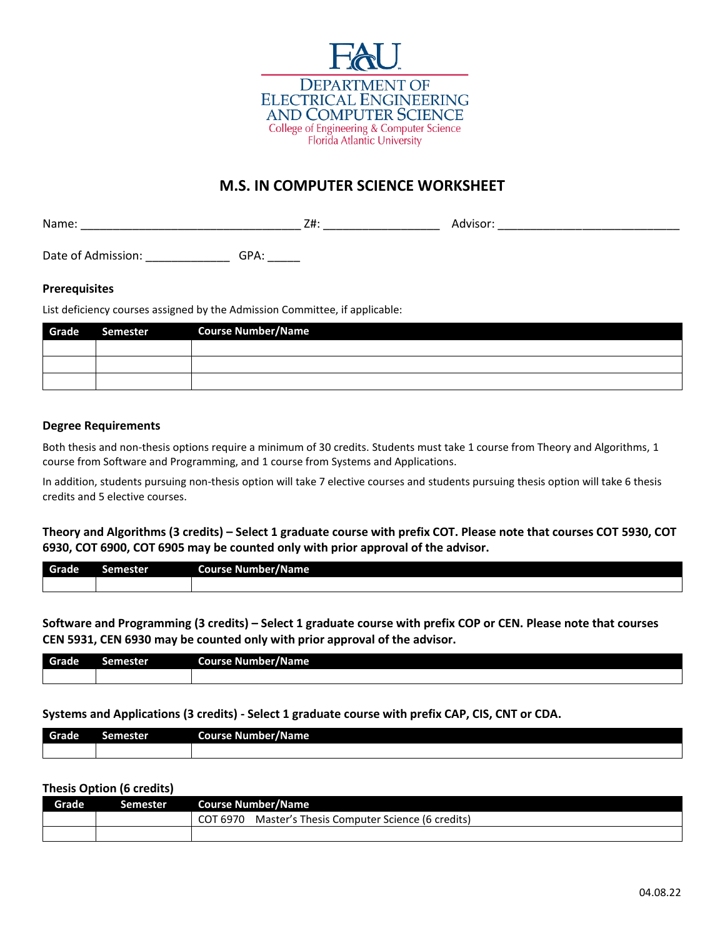

# **M.S. IN COMPUTER SCIENCE WORKSHEET**

Name: \_\_\_\_\_\_\_\_\_\_\_\_\_\_\_\_\_\_\_\_\_\_\_\_\_\_\_\_\_\_\_\_\_\_ Z#: \_\_\_\_\_\_\_\_\_\_\_\_\_\_\_\_\_\_ Advisor: \_\_\_\_\_\_\_\_\_\_\_\_\_\_\_\_\_\_\_\_\_\_\_\_\_\_\_\_

Date of Admission: \_\_\_\_\_\_\_\_\_\_\_\_\_\_\_\_\_\_\_\_GPA: \_\_\_\_\_\_

#### **Prerequisites**

List deficiency courses assigned by the Admission Committee, if applicable:

| Grade | Semester | <b>Course Number/Name</b> |
|-------|----------|---------------------------|
|       |          |                           |
|       |          |                           |
|       |          |                           |

### **Degree Requirements**

Both thesis and non-thesis options require a minimum of 30 credits. Students must take 1 course from Theory and Algorithms, 1 course from Software and Programming, and 1 course from Systems and Applications.

In addition, students pursuing non-thesis option will take 7 elective courses and students pursuing thesis option will take 6 thesis credits and 5 elective courses.

**Theory and Algorithms (3 credits) – Select 1 graduate course with prefix COT. Please note that courses COT 5930, COT 6930, COT 6900, COT 6905 may be counted only with prior approval of the advisor.**

| Grade | ----<br>าเข | Course I<br>Number/Name<br>٠ı. |
|-------|-------------|--------------------------------|
|       |             |                                |

**Software and Programming (3 credits) – Select 1 graduate course with prefix COP or CEN. Please note that courses CEN 5931, CEN 6930 may be counted only with prior approval of the advisor.**

| Grade | Semester | Course Number/Name |
|-------|----------|--------------------|
|       |          |                    |

#### **Systems and Applications (3 credits) - Select 1 graduate course with prefix CAP, CIS, CNT or CDA.**

| Grade | Semester | Course Number/Name |
|-------|----------|--------------------|
|       |          |                    |

#### **Thesis Option (6 credits)**

| Grade <sup>1</sup> | Semester | <b>Course Number/Name</b>                                |
|--------------------|----------|----------------------------------------------------------|
|                    |          | Master's Thesis Computer Science (6 credits)<br>COT 6970 |
|                    |          |                                                          |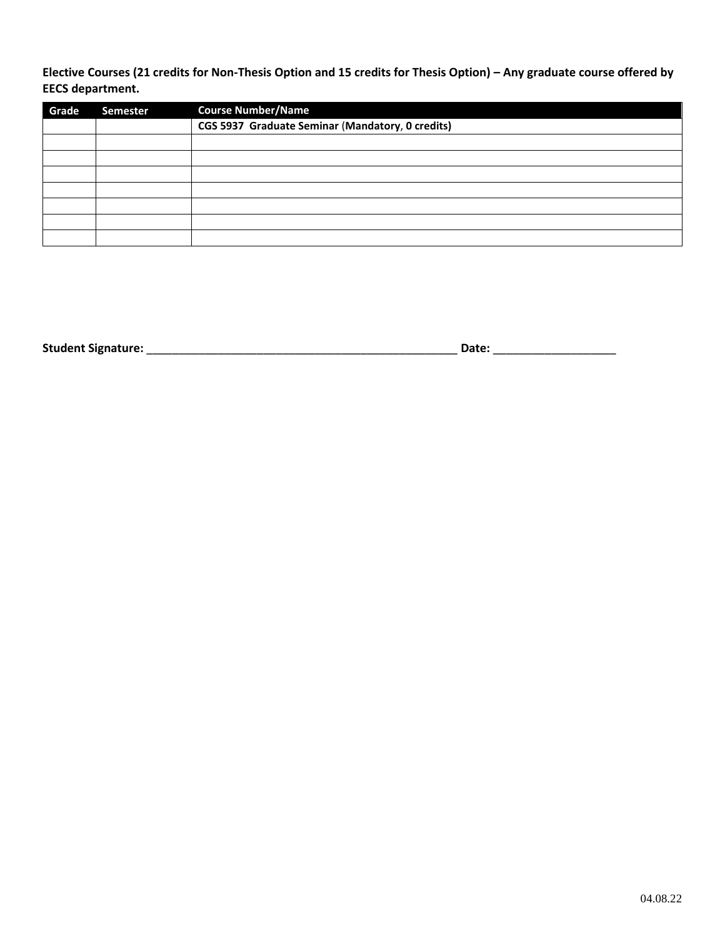**Elective Courses (21 credits for Non-Thesis Option and 15 credits for Thesis Option) – Any graduate course offered by EECS department.**

| Grade | <b>Semester</b> | <b>Course Number/Name</b>                        |
|-------|-----------------|--------------------------------------------------|
|       |                 | CGS 5937 Graduate Seminar (Mandatory, 0 credits) |
|       |                 |                                                  |
|       |                 |                                                  |
|       |                 |                                                  |
|       |                 |                                                  |
|       |                 |                                                  |
|       |                 |                                                  |
|       |                 |                                                  |

**Student Signature:** \_\_\_\_\_\_\_\_\_\_\_\_\_\_\_\_\_\_\_\_\_\_\_\_\_\_\_\_\_\_\_\_\_\_\_\_\_\_\_\_\_\_\_\_\_\_\_\_ **Date:** \_\_\_\_\_\_\_\_\_\_\_\_\_\_\_\_\_\_\_